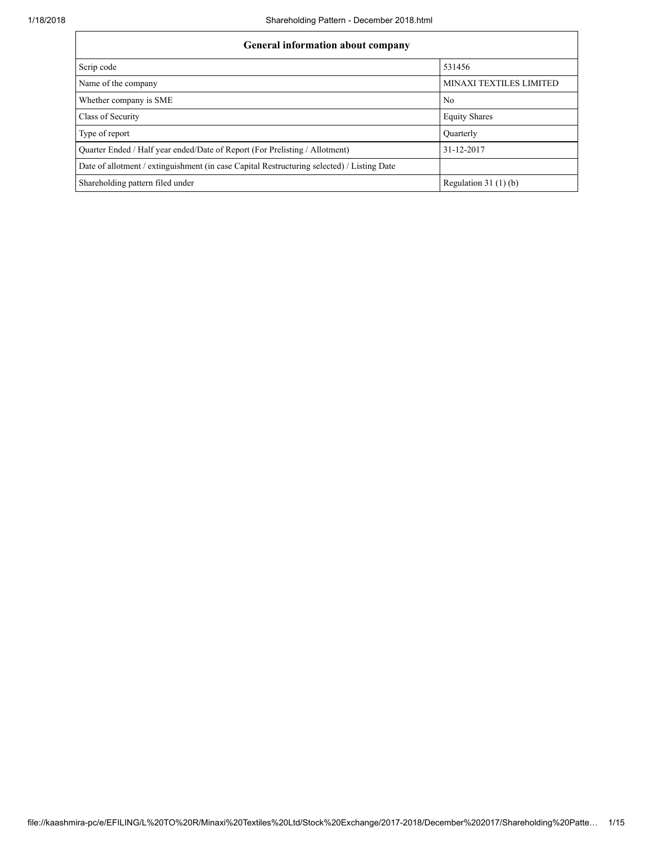| <b>General information about company</b>                                                   |                         |  |  |  |  |  |  |  |
|--------------------------------------------------------------------------------------------|-------------------------|--|--|--|--|--|--|--|
| Scrip code                                                                                 | 531456                  |  |  |  |  |  |  |  |
| Name of the company                                                                        | MINAXI TEXTILES LIMITED |  |  |  |  |  |  |  |
| Whether company is SME                                                                     | N <sub>0</sub>          |  |  |  |  |  |  |  |
| Class of Security                                                                          | <b>Equity Shares</b>    |  |  |  |  |  |  |  |
| Type of report                                                                             | Ouarterly               |  |  |  |  |  |  |  |
| Quarter Ended / Half year ended/Date of Report (For Prelisting / Allotment)                | 31-12-2017              |  |  |  |  |  |  |  |
| Date of allotment / extinguishment (in case Capital Restructuring selected) / Listing Date |                         |  |  |  |  |  |  |  |
| Shareholding pattern filed under                                                           | Regulation $31(1)(b)$   |  |  |  |  |  |  |  |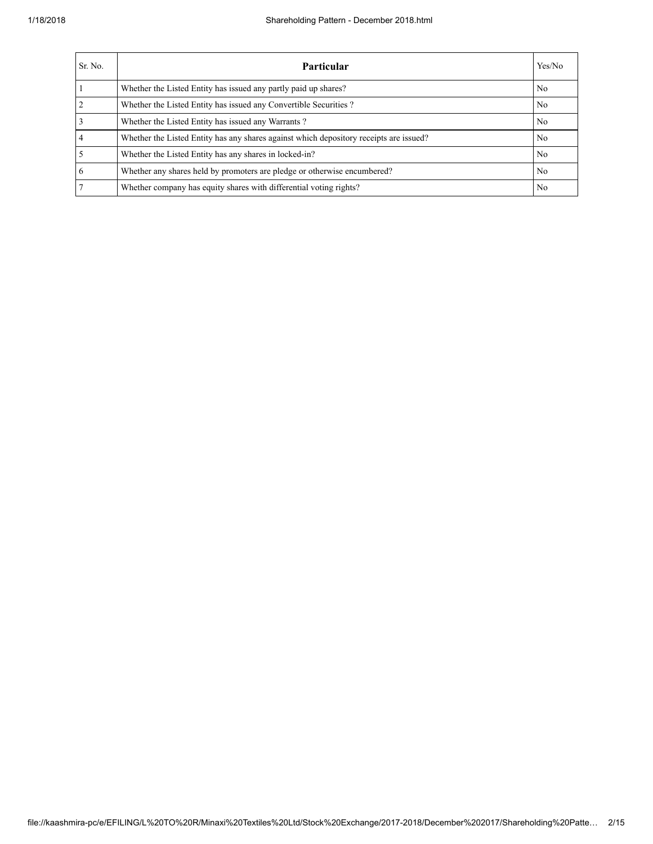## 1/18/2018 Shareholding Pattern - December 2018.html

| Sr. No.        | Particular                                                                             | Yes/No         |
|----------------|----------------------------------------------------------------------------------------|----------------|
|                | Whether the Listed Entity has issued any partly paid up shares?                        | No.            |
| $\overline{2}$ | Whether the Listed Entity has issued any Convertible Securities?                       | No             |
| $\overline{3}$ | Whether the Listed Entity has issued any Warrants?                                     | N <sub>0</sub> |
| $\overline{4}$ | Whether the Listed Entity has any shares against which depository receipts are issued? | No             |
| $\overline{5}$ | Whether the Listed Entity has any shares in locked-in?                                 | N <sub>0</sub> |
| 6              | Whether any shares held by promoters are pledge or otherwise encumbered?               | N <sub>0</sub> |
| 7              | Whether company has equity shares with differential voting rights?                     | No             |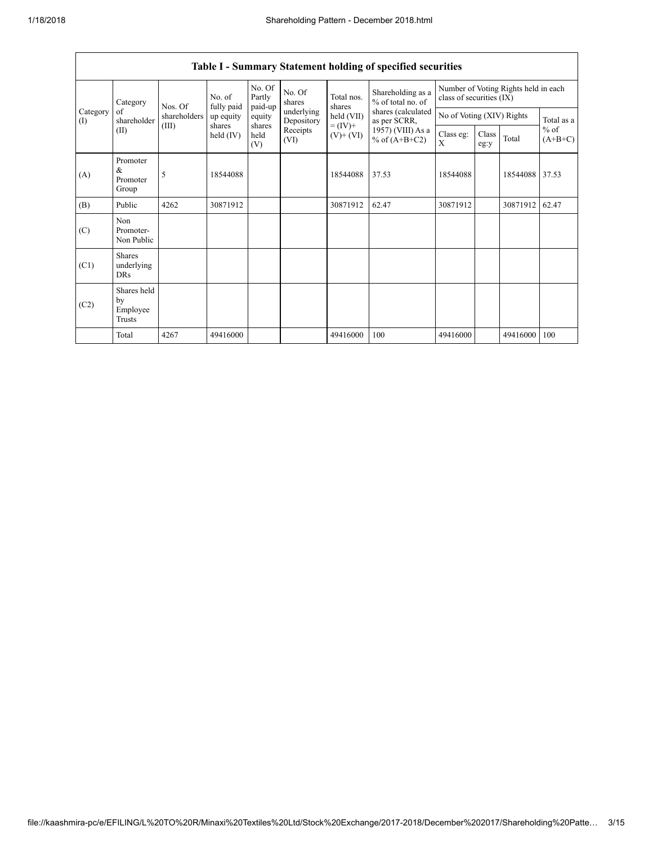| Category<br>Category<br>of<br>(1)<br>(II) |                                           | Nos. Of      | No. of<br>fully paid | No. Of<br>Partly<br>paid-up | No. Of<br>shares         | Total nos.<br>shares         | Shareholding as a<br>% of total no. of |                           | Number of Voting Rights held in each<br>class of securities (IX) |                |                     |  |
|-------------------------------------------|-------------------------------------------|--------------|----------------------|-----------------------------|--------------------------|------------------------------|----------------------------------------|---------------------------|------------------------------------------------------------------|----------------|---------------------|--|
|                                           | shareholder                               | shareholders | up equity            | equity                      | underlying<br>Depository | held (VII)                   | shares (calculated<br>as per SCRR,     | No of Voting (XIV) Rights |                                                                  |                | Total as a          |  |
|                                           |                                           | (III)        | shares<br>held (IV)  | shares<br>held<br>(V)       | Receipts<br>(VI)         | $= (IV) +$<br>$(V)$ + $(VI)$ | 1957) (VIII) As a<br>% of $(A+B+C2)$   | Class eg:<br>X            | Class<br>eg:y                                                    | Total          | $%$ of<br>$(A+B+C)$ |  |
| (A)                                       | Promoter<br>&<br>Promoter<br>Group        | 5            | 18544088             |                             |                          | 18544088                     | 37.53                                  | 18544088                  |                                                                  | 18544088 37.53 |                     |  |
| (B)                                       | Public                                    | 4262         | 30871912             |                             |                          | 30871912                     | 62.47                                  | 30871912                  |                                                                  | 30871912       | 62.47               |  |
| (C)                                       | Non<br>Promoter-<br>Non Public            |              |                      |                             |                          |                              |                                        |                           |                                                                  |                |                     |  |
| (C1)                                      | <b>Shares</b><br>underlying<br><b>DRs</b> |              |                      |                             |                          |                              |                                        |                           |                                                                  |                |                     |  |
| (C2)                                      | Shares held<br>by<br>Employee<br>Trusts   |              |                      |                             |                          |                              |                                        |                           |                                                                  |                |                     |  |
|                                           | Total                                     | 4267         | 49416000             |                             |                          | 49416000                     | 100                                    | 49416000                  |                                                                  | 49416000       | 100                 |  |

## Table I - Summary Statement holding of specified securities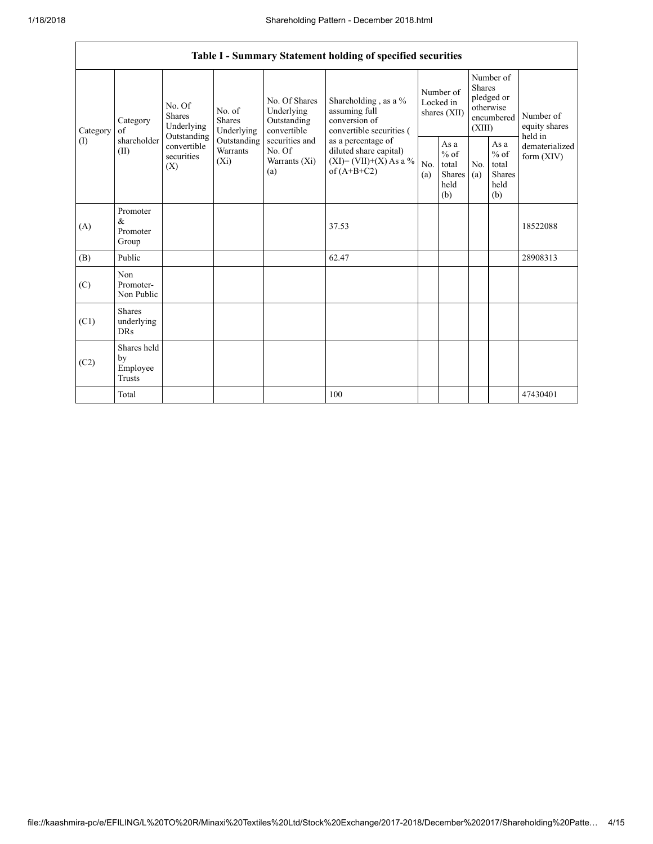| Table I - Summary Statement holding of specified securities |                                           |                                                 |                                       |                                                           |                                                                                            |                                        |                                                  |                                                                               |                                                         |                                       |  |
|-------------------------------------------------------------|-------------------------------------------|-------------------------------------------------|---------------------------------------|-----------------------------------------------------------|--------------------------------------------------------------------------------------------|----------------------------------------|--------------------------------------------------|-------------------------------------------------------------------------------|---------------------------------------------------------|---------------------------------------|--|
| Category<br>(1)                                             | Category<br>of<br>shareholder<br>(II)     | No. Of<br><b>Shares</b><br>Underlying           | No. of<br><b>Shares</b><br>Underlying | No. Of Shares<br>Underlying<br>Outstanding<br>convertible | Shareholding, as a %<br>assuming full<br>conversion of<br>convertible securities (         | Number of<br>Locked in<br>shares (XII) |                                                  | Number of<br><b>Shares</b><br>pledged or<br>otherwise<br>encumbered<br>(XIII) |                                                         | Number of<br>equity shares<br>held in |  |
|                                                             |                                           | Outstanding<br>convertible<br>securities<br>(X) | Outstanding<br>Warrants<br>$(X_i)$    | securities and<br>No. Of<br>Warrants (Xi)<br>(a)          | as a percentage of<br>diluted share capital)<br>$(XI) = (VII)+(X) As a %$<br>of $(A+B+C2)$ | No.<br>(a)                             | As a<br>$%$ of<br>total<br>Shares<br>held<br>(b) | No.<br>(a)                                                                    | As a<br>$%$ of<br>total<br><b>Shares</b><br>held<br>(b) | dematerialized<br>form $(XIV)$        |  |
| (A)                                                         | Promoter<br>&<br>Promoter<br>Group        |                                                 |                                       |                                                           | 37.53                                                                                      |                                        |                                                  |                                                                               |                                                         | 18522088                              |  |
| (B)                                                         | Public                                    |                                                 |                                       |                                                           | 62.47                                                                                      |                                        |                                                  |                                                                               |                                                         | 28908313                              |  |
| (C)                                                         | Non<br>Promoter-<br>Non Public            |                                                 |                                       |                                                           |                                                                                            |                                        |                                                  |                                                                               |                                                         |                                       |  |
| (C1)                                                        | <b>Shares</b><br>underlying<br><b>DRs</b> |                                                 |                                       |                                                           |                                                                                            |                                        |                                                  |                                                                               |                                                         |                                       |  |
| (C2)                                                        | Shares held<br>by<br>Employee<br>Trusts   |                                                 |                                       |                                                           |                                                                                            |                                        |                                                  |                                                                               |                                                         |                                       |  |
|                                                             | Total                                     |                                                 |                                       |                                                           | 100                                                                                        |                                        |                                                  |                                                                               |                                                         | 47430401                              |  |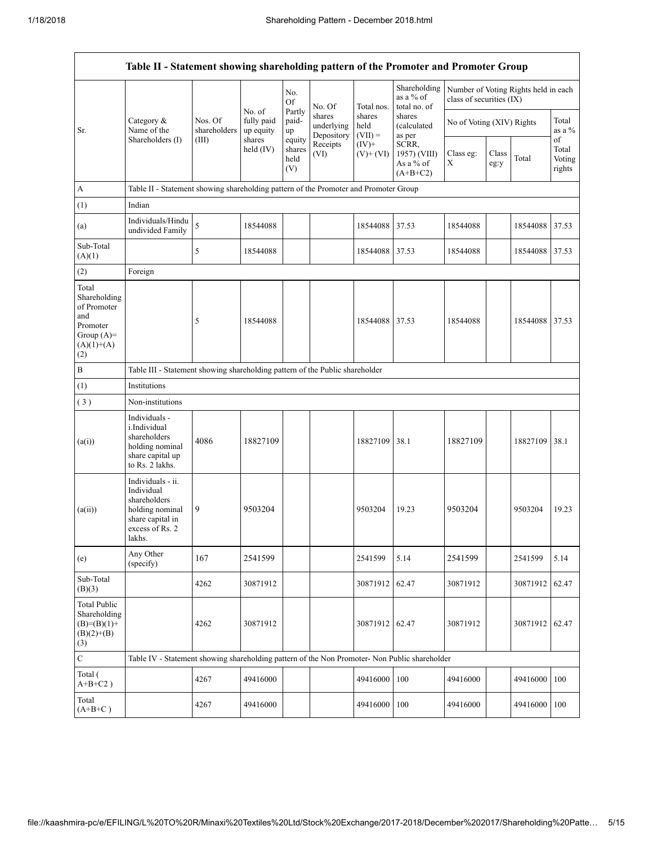|                                                                                                | Table II - Statement showing shareholding pattern of the Promoter and Promoter Group                                |                                                                              |                                   |                                 |                                                        |                             |                                                                                     |                                                                  |               |          |                                 |
|------------------------------------------------------------------------------------------------|---------------------------------------------------------------------------------------------------------------------|------------------------------------------------------------------------------|-----------------------------------|---------------------------------|--------------------------------------------------------|-----------------------------|-------------------------------------------------------------------------------------|------------------------------------------------------------------|---------------|----------|---------------------------------|
|                                                                                                |                                                                                                                     | Nos. Of<br>shareholders                                                      | No. of<br>fully paid<br>up equity | No.<br><b>Of</b>                | No. Of                                                 | Total nos.                  | Shareholding<br>as a % of<br>total no. of                                           | Number of Voting Rights held in each<br>class of securities (IX) |               |          |                                 |
| Sr.                                                                                            | Category &<br>Name of the                                                                                           |                                                                              |                                   | Partly<br>paid-<br>up           | shares<br>underlying<br>Depository<br>Receipts<br>(VI) | shares<br>held<br>$(VII) =$ | shares<br>(calculated<br>as per<br>SCRR,<br>1957) (VIII)<br>As a % of<br>$(A+B+C2)$ | No of Voting (XIV) Rights                                        |               |          | Total<br>as a $%$               |
|                                                                                                | Shareholders (I)                                                                                                    | (III)                                                                        | shares<br>held $(IV)$             | equity<br>shares<br>held<br>(V) |                                                        | $(IV)+$<br>$(V)$ + $(VI)$   |                                                                                     | Class eg:<br>Χ                                                   | Class<br>eg:y | Total    | of<br>Total<br>Voting<br>rights |
| $\mathbf{A}$                                                                                   | Table II - Statement showing shareholding pattern of the Promoter and Promoter Group                                |                                                                              |                                   |                                 |                                                        |                             |                                                                                     |                                                                  |               |          |                                 |
| (1)                                                                                            | Indian                                                                                                              |                                                                              |                                   |                                 |                                                        |                             |                                                                                     |                                                                  |               |          |                                 |
| (a)                                                                                            | Individuals/Hindu<br>undivided Family                                                                               | 5                                                                            | 18544088                          |                                 |                                                        | 18544088                    | 37.53                                                                               | 18544088                                                         |               | 18544088 | 37.53                           |
| Sub-Total<br>(A)(1)                                                                            |                                                                                                                     | 5                                                                            | 18544088                          |                                 |                                                        | 18544088                    | 37.53                                                                               | 18544088                                                         |               | 18544088 | 37.53                           |
| (2)                                                                                            | Foreign                                                                                                             |                                                                              |                                   |                                 |                                                        |                             |                                                                                     |                                                                  |               |          |                                 |
| Total<br>Shareholding<br>of Promoter<br>and<br>Promoter<br>Group $(A)=$<br>$(A)(1)+(A)$<br>(2) |                                                                                                                     | 5                                                                            | 18544088                          |                                 |                                                        | 18544088 37.53              |                                                                                     | 18544088                                                         |               | 18544088 | 37.53                           |
| $\, {\bf B}$                                                                                   |                                                                                                                     | Table III - Statement showing shareholding pattern of the Public shareholder |                                   |                                 |                                                        |                             |                                                                                     |                                                                  |               |          |                                 |
| (1)                                                                                            | Institutions                                                                                                        |                                                                              |                                   |                                 |                                                        |                             |                                                                                     |                                                                  |               |          |                                 |
| (3)                                                                                            | Non-institutions                                                                                                    |                                                                              |                                   |                                 |                                                        |                             |                                                                                     |                                                                  |               |          |                                 |
| (a(i))                                                                                         | Individuals -<br><i>i.Individual</i><br>shareholders<br>holding nominal<br>share capital up<br>to Rs. 2 lakhs.      | 4086                                                                         | 18827109                          |                                 |                                                        | 18827109                    | 38.1                                                                                | 18827109                                                         |               | 18827109 | 38.1                            |
| (a(ii))                                                                                        | Individuals - ii.<br>Individual<br>shareholders<br>holding nominal<br>share capital in<br>excess of Rs. 2<br>lakhs. | 9                                                                            | 9503204                           |                                 |                                                        | 9503204                     | 19.23                                                                               | 9503204                                                          |               | 9503204  | 19.23                           |
| (e)                                                                                            | Any Other<br>(specify)                                                                                              | 167                                                                          | 2541599                           |                                 |                                                        | 2541599                     | 5.14                                                                                | 2541599                                                          |               | 2541599  | 5.14                            |
| Sub-Total<br>(B)(3)                                                                            |                                                                                                                     | 4262                                                                         | 30871912                          |                                 |                                                        | 30871912                    | 62.47                                                                               | 30871912                                                         |               | 30871912 | 62.47                           |
| <b>Total Public</b><br>Shareholding<br>$(B)=(B)(1)+$<br>$(B)(2)+(B)$<br>(3)                    |                                                                                                                     | 4262                                                                         | 30871912                          |                                 |                                                        | 30871912 62.47              |                                                                                     | 30871912                                                         |               | 30871912 | 62.47                           |
| $\mathbf C$                                                                                    | Table IV - Statement showing shareholding pattern of the Non Promoter- Non Public shareholder                       |                                                                              |                                   |                                 |                                                        |                             |                                                                                     |                                                                  |               |          |                                 |
| Total (<br>$A+B+C2$ )                                                                          |                                                                                                                     | 4267                                                                         | 49416000                          |                                 |                                                        | 49416000                    | 100                                                                                 | 49416000                                                         |               | 49416000 | 100                             |
| Total<br>$(A+B+C)$                                                                             |                                                                                                                     | 4267                                                                         | 49416000                          |                                 |                                                        | 49416000                    | 100                                                                                 | 49416000                                                         |               | 49416000 | 100                             |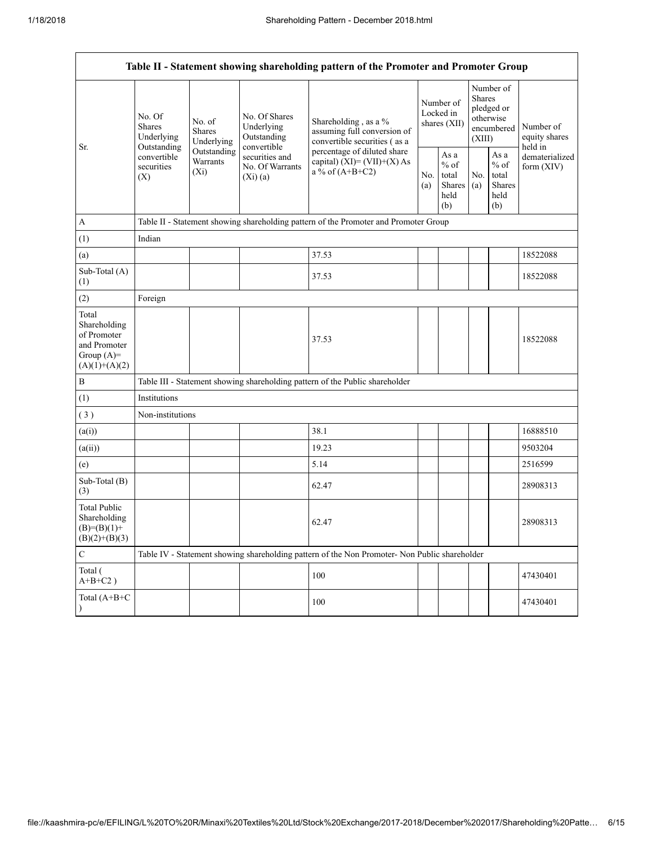|                                                                                         |                                                 |                                                                                      |                                                           | Table II - Statement showing shareholding pattern of the Promoter and Promoter Group          |                                        |                                                  |                                                                               |                                                             |                                       |  |  |
|-----------------------------------------------------------------------------------------|-------------------------------------------------|--------------------------------------------------------------------------------------|-----------------------------------------------------------|-----------------------------------------------------------------------------------------------|----------------------------------------|--------------------------------------------------|-------------------------------------------------------------------------------|-------------------------------------------------------------|---------------------------------------|--|--|
|                                                                                         | No. Of<br><b>Shares</b><br>Underlying           | No. of<br><b>Shares</b><br>Underlying                                                | No. Of Shares<br>Underlying<br>Outstanding<br>convertible | Shareholding, as a %<br>assuming full conversion of<br>convertible securities (as a           | Number of<br>Locked in<br>shares (XII) |                                                  | Number of<br><b>Shares</b><br>pledged or<br>otherwise<br>encumbered<br>(XIII) |                                                             | Number of<br>equity shares<br>held in |  |  |
| Sr.                                                                                     | Outstanding<br>convertible<br>securities<br>(X) | Outstanding<br>Warrants<br>$(X_i)$                                                   | securities and<br>No. Of Warrants<br>(Xi)(a)              | percentage of diluted share<br>capital) $(XI) = (VII)+(X) As$<br>$a\&6$ of $(A+B+C2)$         | No.<br>(a)                             | As a<br>$%$ of<br>total<br>Shares<br>held<br>(b) | No.<br>(a)                                                                    | As $\mathbf{a}$<br>$%$ of<br>total<br>Shares<br>held<br>(b) | dematerialized<br>form $(XIV)$        |  |  |
| $\mathbf{A}$                                                                            |                                                 | Table II - Statement showing shareholding pattern of the Promoter and Promoter Group |                                                           |                                                                                               |                                        |                                                  |                                                                               |                                                             |                                       |  |  |
| (1)                                                                                     | Indian                                          |                                                                                      |                                                           |                                                                                               |                                        |                                                  |                                                                               |                                                             |                                       |  |  |
| (a)                                                                                     |                                                 |                                                                                      |                                                           | 37.53                                                                                         |                                        |                                                  |                                                                               |                                                             | 18522088                              |  |  |
| Sub-Total (A)<br>(1)                                                                    |                                                 |                                                                                      |                                                           | 37.53                                                                                         |                                        |                                                  |                                                                               |                                                             | 18522088                              |  |  |
| (2)                                                                                     | Foreign                                         |                                                                                      |                                                           |                                                                                               |                                        |                                                  |                                                                               |                                                             |                                       |  |  |
| Total<br>Shareholding<br>of Promoter<br>and Promoter<br>Group $(A)=$<br>$(A)(1)+(A)(2)$ |                                                 |                                                                                      |                                                           | 37.53                                                                                         |                                        |                                                  |                                                                               |                                                             | 18522088                              |  |  |
| $\, {\bf B}$                                                                            |                                                 |                                                                                      |                                                           | Table III - Statement showing shareholding pattern of the Public shareholder                  |                                        |                                                  |                                                                               |                                                             |                                       |  |  |
| (1)                                                                                     | Institutions                                    |                                                                                      |                                                           |                                                                                               |                                        |                                                  |                                                                               |                                                             |                                       |  |  |
| (3)                                                                                     | Non-institutions                                |                                                                                      |                                                           |                                                                                               |                                        |                                                  |                                                                               |                                                             |                                       |  |  |
| (a(i))                                                                                  |                                                 |                                                                                      |                                                           | 38.1                                                                                          |                                        |                                                  |                                                                               |                                                             | 16888510                              |  |  |
| (a(ii))                                                                                 |                                                 |                                                                                      |                                                           | 19.23                                                                                         |                                        |                                                  |                                                                               |                                                             | 9503204                               |  |  |
| (e)                                                                                     |                                                 |                                                                                      |                                                           | 5.14                                                                                          |                                        |                                                  |                                                                               |                                                             | 2516599                               |  |  |
| Sub-Total (B)<br>(3)                                                                    |                                                 |                                                                                      |                                                           | 62.47                                                                                         |                                        |                                                  |                                                                               |                                                             | 28908313                              |  |  |
| <b>Total Public</b><br>Shareholding<br>$(B)= (B)(1) +$<br>$(B)(2)+(B)(3)$               |                                                 |                                                                                      |                                                           | 62.47                                                                                         |                                        |                                                  |                                                                               |                                                             | 28908313                              |  |  |
| $\mathbf C$                                                                             |                                                 |                                                                                      |                                                           | Table IV - Statement showing shareholding pattern of the Non Promoter- Non Public shareholder |                                        |                                                  |                                                                               |                                                             |                                       |  |  |
| Total (<br>$A+B+C2$ )                                                                   |                                                 |                                                                                      |                                                           | 100                                                                                           |                                        |                                                  |                                                                               |                                                             | 47430401                              |  |  |
| Total (A+B+C                                                                            |                                                 |                                                                                      |                                                           | 100                                                                                           |                                        |                                                  |                                                                               |                                                             | 47430401                              |  |  |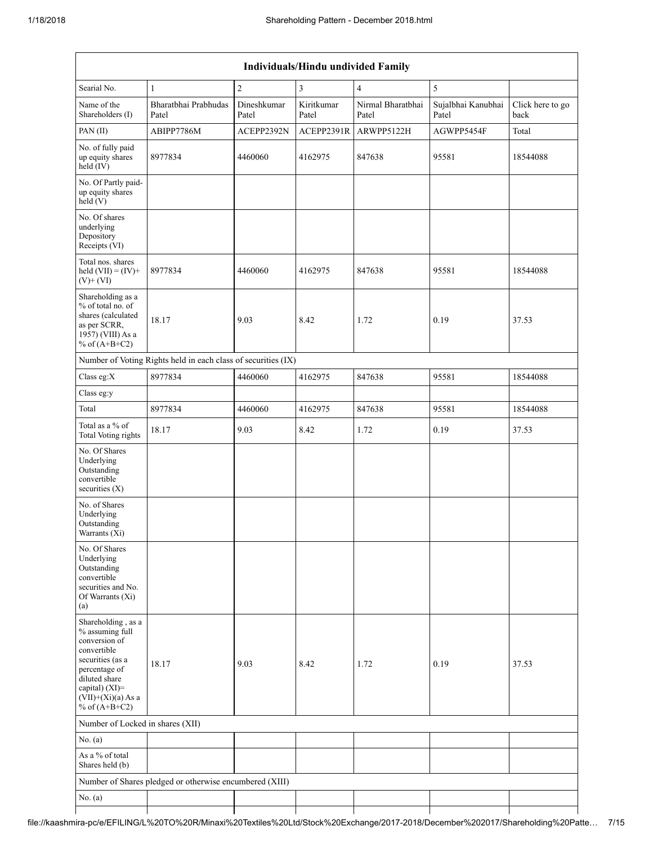| Individuals/Hindu undivided Family                                                                                                                                                       |                                                               |                      |                     |                            |                             |                          |  |  |  |  |
|------------------------------------------------------------------------------------------------------------------------------------------------------------------------------------------|---------------------------------------------------------------|----------------------|---------------------|----------------------------|-----------------------------|--------------------------|--|--|--|--|
| Searial No.                                                                                                                                                                              | $\mathbf{1}$                                                  | $\overline{c}$       | 3                   | $\overline{4}$             | 5                           |                          |  |  |  |  |
| Name of the<br>Shareholders (I)                                                                                                                                                          | Bharatbhai Prabhudas<br>Patel                                 | Dineshkumar<br>Patel | Kiritkumar<br>Patel | Nirmal Bharatbhai<br>Patel | Sujalbhai Kanubhai<br>Patel | Click here to go<br>back |  |  |  |  |
| PAN(II)                                                                                                                                                                                  | ABIPP7786M                                                    | ACEPP2392N           | ACEPP2391R          | ARWPP5122H                 | AGWPP5454F                  | Total                    |  |  |  |  |
| No. of fully paid<br>up equity shares<br>held (IV)                                                                                                                                       | 8977834                                                       | 4460060              | 4162975             | 847638                     | 95581                       | 18544088                 |  |  |  |  |
| No. Of Partly paid-<br>up equity shares<br>held(V)                                                                                                                                       |                                                               |                      |                     |                            |                             |                          |  |  |  |  |
| No. Of shares<br>underlying<br>Depository<br>Receipts (VI)                                                                                                                               |                                                               |                      |                     |                            |                             |                          |  |  |  |  |
| Total nos. shares<br>held $(VII) = (IV) +$<br>$(V) + (VI)$                                                                                                                               | 8977834                                                       | 4460060              | 4162975             | 847638                     | 95581                       | 18544088                 |  |  |  |  |
| Shareholding as a<br>% of total no. of<br>shares (calculated<br>as per SCRR,<br>1957) (VIII) As a<br>% of $(A+B+C2)$                                                                     | 18.17                                                         | 9.03                 | 8.42                | 1.72                       | 0.19                        | 37.53                    |  |  |  |  |
|                                                                                                                                                                                          | Number of Voting Rights held in each class of securities (IX) |                      |                     |                            |                             |                          |  |  |  |  |
| Class eg:X                                                                                                                                                                               | 8977834                                                       | 4460060              | 4162975             | 847638                     | 95581                       | 18544088                 |  |  |  |  |
| Class eg:y                                                                                                                                                                               |                                                               |                      |                     |                            |                             |                          |  |  |  |  |
| Total                                                                                                                                                                                    | 8977834                                                       | 4460060              | 4162975             | 847638                     | 95581                       | 18544088                 |  |  |  |  |
| Total as a % of<br><b>Total Voting rights</b>                                                                                                                                            | 18.17                                                         | 9.03                 | 8.42                | 1.72                       | 0.19                        | 37.53                    |  |  |  |  |
| No. Of Shares<br>Underlying<br>Outstanding<br>convertible<br>securities (X)                                                                                                              |                                                               |                      |                     |                            |                             |                          |  |  |  |  |
| No. of Shares<br>Underlying<br>Outstanding<br>Warrants $(X_1)$                                                                                                                           |                                                               |                      |                     |                            |                             |                          |  |  |  |  |
| No. Of Shares<br>Underlying<br>Outstanding<br>convertible<br>securities and No.<br>Of Warrants (Xi)<br>(a)                                                                               |                                                               |                      |                     |                            |                             |                          |  |  |  |  |
| Shareholding, as a<br>% assuming full<br>conversion of<br>convertible<br>securities (as a<br>percentage of<br>diluted share<br>capital) (XI)=<br>$(VII)+(Xi)(a)$ As a<br>% of $(A+B+C2)$ | 18.17                                                         | 9.03                 | 8.42                | 1.72                       | 0.19                        | 37.53                    |  |  |  |  |
| Number of Locked in shares (XII)                                                                                                                                                         |                                                               |                      |                     |                            |                             |                          |  |  |  |  |
| No. (a)                                                                                                                                                                                  |                                                               |                      |                     |                            |                             |                          |  |  |  |  |
| As a % of total<br>Shares held (b)                                                                                                                                                       |                                                               |                      |                     |                            |                             |                          |  |  |  |  |
|                                                                                                                                                                                          | Number of Shares pledged or otherwise encumbered (XIII)       |                      |                     |                            |                             |                          |  |  |  |  |
| No. $(a)$                                                                                                                                                                                |                                                               |                      |                     |                            |                             |                          |  |  |  |  |
|                                                                                                                                                                                          |                                                               |                      |                     |                            |                             |                          |  |  |  |  |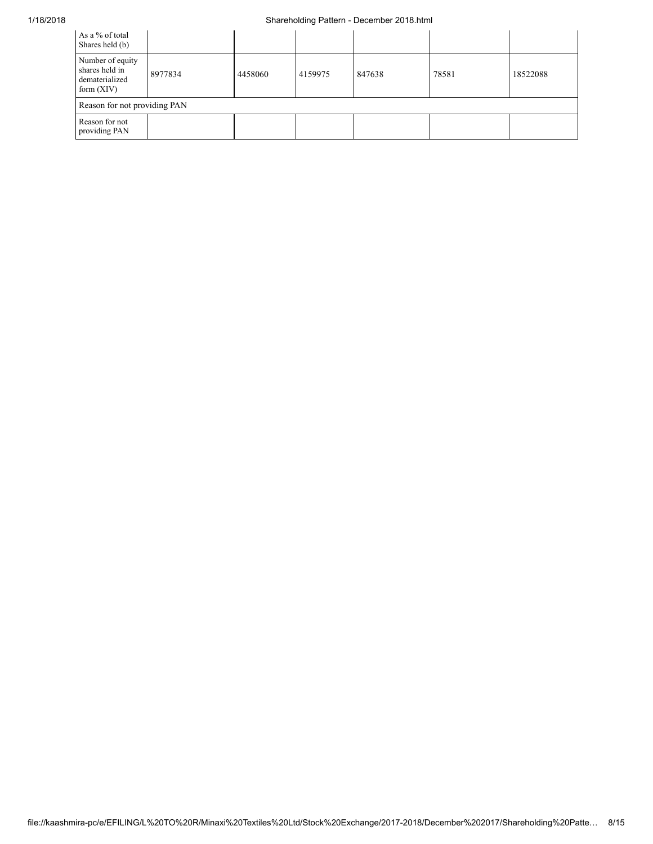## 1/18/2018 Shareholding Pattern - December 2018.html

| As a % of total<br>Shares held (b)                                   |         |         |         |        |       |          |  |  |  |
|----------------------------------------------------------------------|---------|---------|---------|--------|-------|----------|--|--|--|
| Number of equity<br>shares held in<br>dematerialized<br>form $(XIV)$ | 8977834 | 4458060 | 4159975 | 847638 | 78581 | 18522088 |  |  |  |
| Reason for not providing PAN                                         |         |         |         |        |       |          |  |  |  |
| Reason for not<br>providing PAN                                      |         |         |         |        |       |          |  |  |  |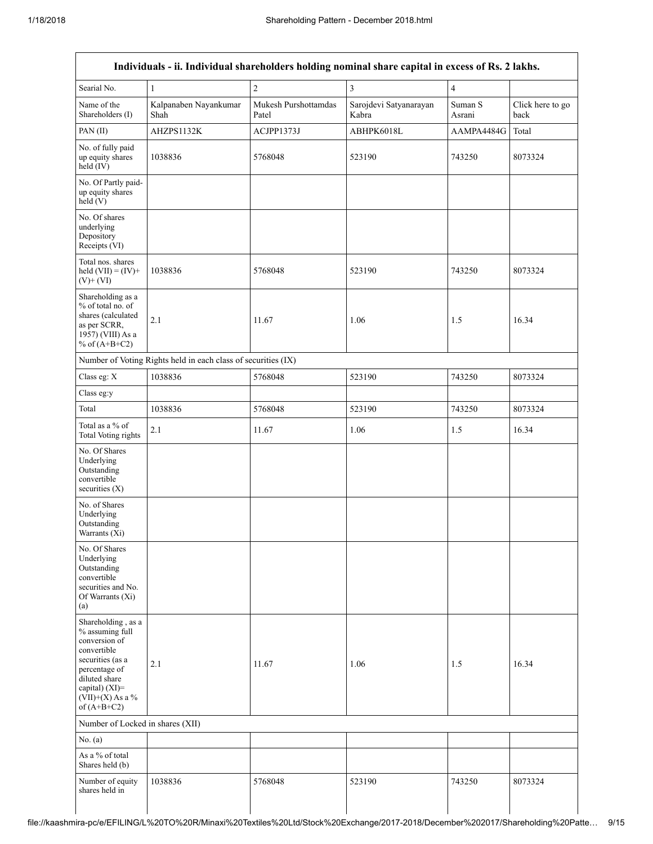|                                                                                                                                                                                         | Individuals - ii. Individual shareholders holding nominal share capital in excess of Rs. 2 lakhs. |                               |                                 |                   |                          |  |  |  |  |  |  |
|-----------------------------------------------------------------------------------------------------------------------------------------------------------------------------------------|---------------------------------------------------------------------------------------------------|-------------------------------|---------------------------------|-------------------|--------------------------|--|--|--|--|--|--|
| Searial No.                                                                                                                                                                             | 1                                                                                                 | $\overline{2}$                | 3                               | $\overline{4}$    |                          |  |  |  |  |  |  |
| Name of the<br>Shareholders (I)                                                                                                                                                         | Kalpanaben Nayankumar<br>Shah                                                                     | Mukesh Purshottamdas<br>Patel | Sarojdevi Satyanarayan<br>Kabra | Suman S<br>Asrani | Click here to go<br>back |  |  |  |  |  |  |
| PAN (II)                                                                                                                                                                                | AHZPS1132K                                                                                        | ACJPP1373J                    | ABHPK6018L                      | AAMPA4484G        | Total                    |  |  |  |  |  |  |
| No. of fully paid<br>up equity shares<br>held (IV)                                                                                                                                      | 1038836                                                                                           | 5768048                       | 523190                          | 743250            | 8073324                  |  |  |  |  |  |  |
| No. Of Partly paid-<br>up equity shares<br>held(V)                                                                                                                                      |                                                                                                   |                               |                                 |                   |                          |  |  |  |  |  |  |
| No. Of shares<br>underlying<br>Depository<br>Receipts (VI)                                                                                                                              |                                                                                                   |                               |                                 |                   |                          |  |  |  |  |  |  |
| Total nos. shares<br>held $(VII) = (IV) +$<br>$(V)$ + $(VI)$                                                                                                                            | 1038836                                                                                           | 5768048                       | 523190                          | 743250            | 8073324                  |  |  |  |  |  |  |
| Shareholding as a<br>% of total no. of<br>shares (calculated<br>as per SCRR,<br>1957) (VIII) As a<br>% of $(A+B+C2)$                                                                    | 2.1                                                                                               | 11.67                         | 1.06                            | 1.5               | 16.34                    |  |  |  |  |  |  |
|                                                                                                                                                                                         | Number of Voting Rights held in each class of securities (IX)                                     |                               |                                 |                   |                          |  |  |  |  |  |  |
| Class eg: X                                                                                                                                                                             | 1038836                                                                                           | 5768048                       | 523190                          | 743250            | 8073324                  |  |  |  |  |  |  |
| Class eg:y                                                                                                                                                                              |                                                                                                   |                               |                                 |                   |                          |  |  |  |  |  |  |
| Total                                                                                                                                                                                   | 1038836                                                                                           | 5768048                       | 523190                          | 743250            | 8073324                  |  |  |  |  |  |  |
| Total as a % of<br>Total Voting rights                                                                                                                                                  | 2.1                                                                                               | 11.67                         | 1.06                            | 1.5               | 16.34                    |  |  |  |  |  |  |
| No. Of Shares<br>Underlying<br>Outstanding<br>convertible<br>securities $(X)$                                                                                                           |                                                                                                   |                               |                                 |                   |                          |  |  |  |  |  |  |
| No. of Shares<br>Underlying<br>Outstanding<br>Warrants $(X_1)$                                                                                                                          |                                                                                                   |                               |                                 |                   |                          |  |  |  |  |  |  |
| No. Of Shares<br>Underlying<br>Outstanding<br>convertible<br>securities and No.<br>Of Warrants (Xi)<br>(a)                                                                              |                                                                                                   |                               |                                 |                   |                          |  |  |  |  |  |  |
| Shareholding, as a<br>% assuming full<br>conversion of<br>convertible<br>securities (as a<br>percentage of<br>diluted share<br>capital) $(XI)$ =<br>$(VII)+(X)$ As a %<br>of $(A+B+C2)$ | 2.1                                                                                               | 11.67                         | 1.06                            | 1.5               | 16.34                    |  |  |  |  |  |  |
| Number of Locked in shares (XII)                                                                                                                                                        |                                                                                                   |                               |                                 |                   |                          |  |  |  |  |  |  |
| No. (a)                                                                                                                                                                                 |                                                                                                   |                               |                                 |                   |                          |  |  |  |  |  |  |
| As a % of total<br>Shares held (b)                                                                                                                                                      |                                                                                                   |                               |                                 |                   |                          |  |  |  |  |  |  |
| Number of equity<br>shares held in                                                                                                                                                      | 1038836                                                                                           | 5768048                       | 523190                          | 743250            | 8073324                  |  |  |  |  |  |  |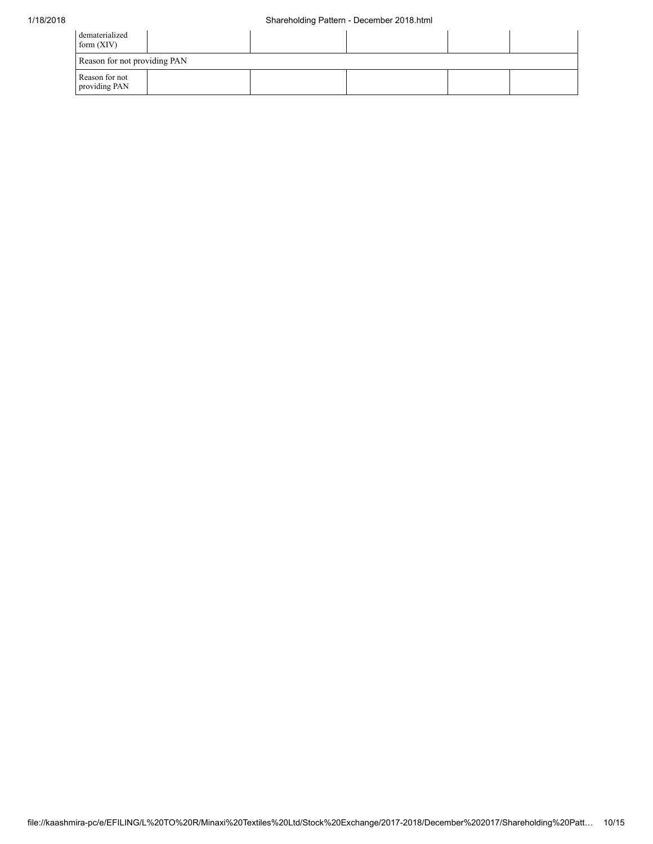| dematerialized<br>form $(XIV)$  |  |  |  |  |  |  |  |  |  |
|---------------------------------|--|--|--|--|--|--|--|--|--|
| Reason for not providing PAN    |  |  |  |  |  |  |  |  |  |
| Reason for not<br>providing PAN |  |  |  |  |  |  |  |  |  |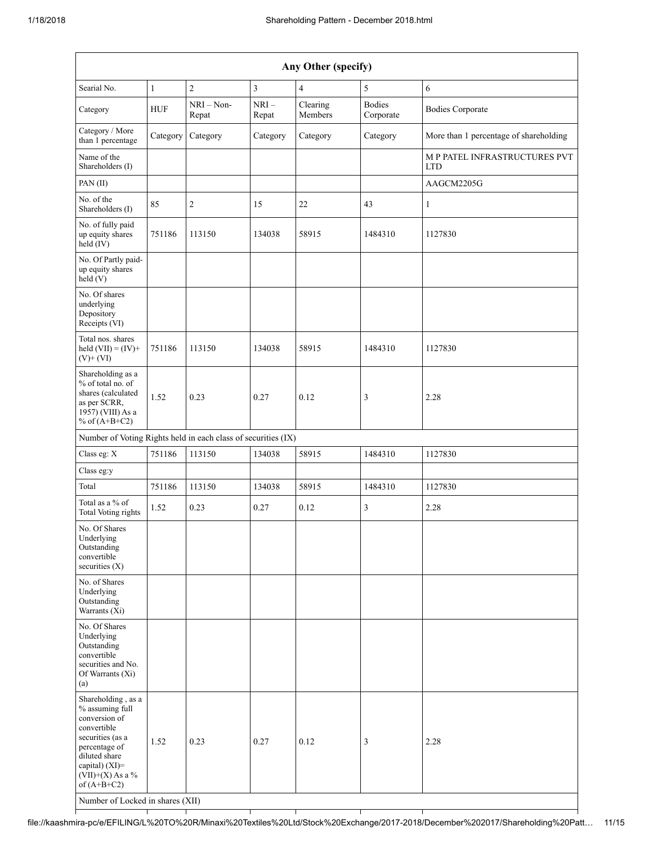| Any Other (specify)                                                                                                                                                                                                      |            |                       |                 |                     |                            |                                             |  |  |  |  |
|--------------------------------------------------------------------------------------------------------------------------------------------------------------------------------------------------------------------------|------------|-----------------------|-----------------|---------------------|----------------------------|---------------------------------------------|--|--|--|--|
| Searial No.                                                                                                                                                                                                              | $\,1$      | $\overline{2}$        | $\mathfrak{Z}$  | 4                   | $\sqrt{5}$                 | 6                                           |  |  |  |  |
| Category                                                                                                                                                                                                                 | <b>HUF</b> | $NRI - Non-$<br>Repat | $NRI-$<br>Repat | Clearing<br>Members | <b>Bodies</b><br>Corporate | <b>Bodies Corporate</b>                     |  |  |  |  |
| Category / More<br>than 1 percentage                                                                                                                                                                                     | Category   | Category              | Category        | Category            | Category                   | More than 1 percentage of shareholding      |  |  |  |  |
| Name of the<br>Shareholders (I)                                                                                                                                                                                          |            |                       |                 |                     |                            | M P PATEL INFRASTRUCTURES PVT<br><b>LTD</b> |  |  |  |  |
| PAN (II)                                                                                                                                                                                                                 |            |                       |                 |                     |                            | AAGCM2205G                                  |  |  |  |  |
| No. of the<br>Shareholders (I)                                                                                                                                                                                           | 85         | $\overline{c}$        | 15              | 22                  | 43                         | $\mathbf{1}$                                |  |  |  |  |
| No. of fully paid<br>up equity shares<br>held (IV)                                                                                                                                                                       | 751186     | 113150                | 134038          | 58915               | 1484310                    | 1127830                                     |  |  |  |  |
| No. Of Partly paid-<br>up equity shares<br>held(V)                                                                                                                                                                       |            |                       |                 |                     |                            |                                             |  |  |  |  |
| No. Of shares<br>underlying<br>Depository<br>Receipts (VI)                                                                                                                                                               |            |                       |                 |                     |                            |                                             |  |  |  |  |
| Total nos. shares<br>held $(VII) = (IV) +$<br>$(V)$ + $(VI)$                                                                                                                                                             | 751186     | 113150                | 134038          | 58915               | 1484310                    | 1127830                                     |  |  |  |  |
| Shareholding as a<br>% of total no. of<br>shares (calculated<br>as per SCRR,<br>1957) (VIII) As a<br>% of $(A+B+C2)$                                                                                                     | 1.52       | 0.23                  | 0.27            | 0.12                | $\mathfrak{Z}$             | 2.28                                        |  |  |  |  |
| Number of Voting Rights held in each class of securities (IX)                                                                                                                                                            |            |                       |                 |                     |                            |                                             |  |  |  |  |
| Class eg: X                                                                                                                                                                                                              | 751186     | 113150                | 134038          | 58915               | 1484310                    | 1127830                                     |  |  |  |  |
| Class eg:y                                                                                                                                                                                                               |            |                       |                 |                     |                            |                                             |  |  |  |  |
| Total                                                                                                                                                                                                                    | 751186     | 113150                | 134038          | 58915               | 1484310                    | 1127830                                     |  |  |  |  |
| Total as a % of<br><b>Total Voting rights</b>                                                                                                                                                                            | 1.52       | 0.23                  | 0.27            | 0.12                | 3                          | 2.28                                        |  |  |  |  |
| No. Of Shares<br>Underlying<br>Outstanding<br>convertible<br>securities $(X)$                                                                                                                                            |            |                       |                 |                     |                            |                                             |  |  |  |  |
| No. of Shares<br>Underlying<br>Outstanding<br>Warrants (Xi)                                                                                                                                                              |            |                       |                 |                     |                            |                                             |  |  |  |  |
| No. Of Shares<br>Underlying<br>Outstanding<br>convertible<br>securities and No.<br>Of Warrants (Xi)<br>(a)                                                                                                               |            |                       |                 |                     |                            |                                             |  |  |  |  |
| Shareholding, as a<br>% assuming full<br>conversion of<br>convertible<br>securities (as a<br>percentage of<br>diluted share<br>capital) (XI)=<br>$(VII)+(X)$ As a %<br>of $(A+B+C2)$<br>Number of Locked in shares (XII) | 1.52       | 0.23                  | 0.27            | 0.12                | 3                          | 2.28                                        |  |  |  |  |

file://kaashmira-pc/e/EFILING/L%20TO%20R/Minaxi%20Textiles%20Ltd/Stock%20Exchange/2017-2018/December%202017/Shareholding%20Patt… 11/15

т

┱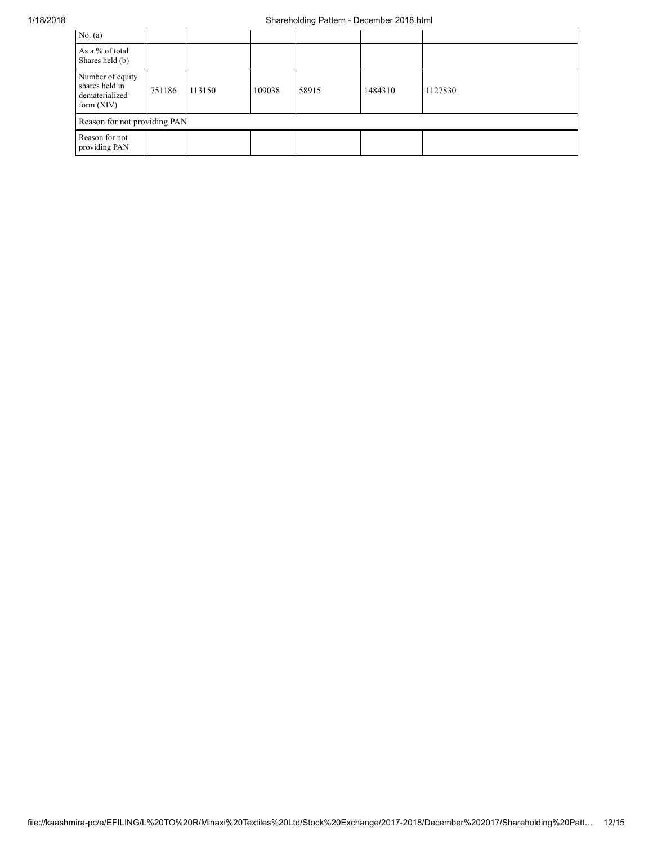## 1/18/2018 Shareholding Pattern - December 2018.html

| No. $(a)$                                                            |        |        |        |       |         |         |  |  |
|----------------------------------------------------------------------|--------|--------|--------|-------|---------|---------|--|--|
| As a % of total<br>Shares held (b)                                   |        |        |        |       |         |         |  |  |
| Number of equity<br>shares held in<br>dematerialized<br>form $(XIV)$ | 751186 | 113150 | 109038 | 58915 | 1484310 | 1127830 |  |  |
| Reason for not providing PAN                                         |        |        |        |       |         |         |  |  |
| Reason for not<br>providing PAN                                      |        |        |        |       |         |         |  |  |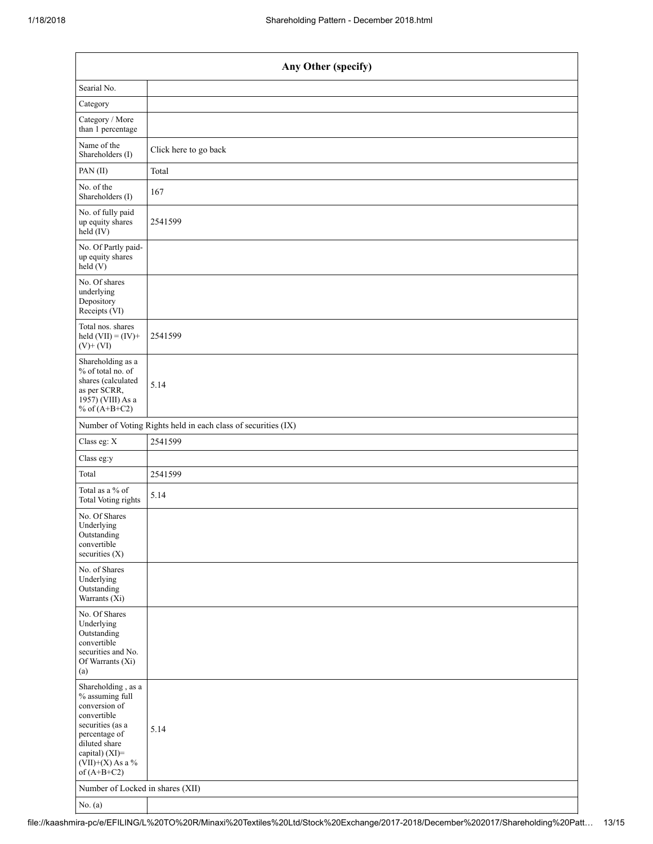| Any Other (specify)                                                                                                                                                                  |                                                               |
|--------------------------------------------------------------------------------------------------------------------------------------------------------------------------------------|---------------------------------------------------------------|
| Searial No.                                                                                                                                                                          |                                                               |
| Category                                                                                                                                                                             |                                                               |
| Category / More<br>than 1 percentage                                                                                                                                                 |                                                               |
| Name of the<br>Shareholders (I)                                                                                                                                                      | Click here to go back                                         |
| PAN(II)                                                                                                                                                                              | Total                                                         |
| No. of the<br>Shareholders (I)                                                                                                                                                       | 167                                                           |
| No. of fully paid<br>up equity shares<br>$held$ (IV)                                                                                                                                 | 2541599                                                       |
| No. Of Partly paid-<br>up equity shares<br>held(V)                                                                                                                                   |                                                               |
| No. Of shares<br>underlying<br>Depository<br>Receipts (VI)                                                                                                                           |                                                               |
| Total nos. shares<br>held $(VII) = (IV) +$<br>$(V)$ + $(VI)$                                                                                                                         | 2541599                                                       |
| Shareholding as a<br>% of total no. of<br>shares (calculated<br>as per SCRR,<br>1957) (VIII) As a<br>% of $(A+B+C2)$                                                                 | 5.14                                                          |
|                                                                                                                                                                                      | Number of Voting Rights held in each class of securities (IX) |
| Class eg: X                                                                                                                                                                          | 2541599                                                       |
| Class eg:y                                                                                                                                                                           |                                                               |
| Total                                                                                                                                                                                | 2541599                                                       |
| Total as a % of<br><b>Total Voting rights</b>                                                                                                                                        | 5.14                                                          |
| No. Of Shares<br>Underlying<br>Outstanding<br>convertible<br>securities $(X)$                                                                                                        |                                                               |
| No. of Shares<br>Underlying<br>Outstanding<br>Warrants $(X_i)$                                                                                                                       |                                                               |
| No. Of Shares<br>Underlying<br>Outstanding<br>convertible<br>securities and No.<br>Of Warrants (Xi)<br>(a)                                                                           |                                                               |
| Shareholding, as a<br>% assuming full<br>conversion of<br>convertible<br>securities (as a<br>percentage of<br>diluted share<br>capital) (XI)=<br>$(VII)+(X)$ As a %<br>of $(A+B+C2)$ | 5.14                                                          |
| Number of Locked in shares (XII)                                                                                                                                                     |                                                               |
| No. $(a)$                                                                                                                                                                            |                                                               |

file://kaashmira-pc/e/EFILING/L%20TO%20R/Minaxi%20Textiles%20Ltd/Stock%20Exchange/2017-2018/December%202017/Shareholding%20Patt… 13/15